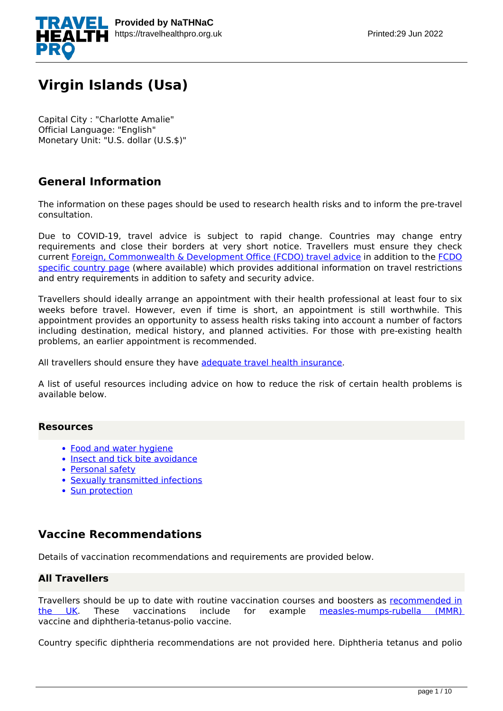

# **Virgin Islands (Usa)**

Capital City : "Charlotte Amalie" Official Language: "English" Monetary Unit: "U.S. dollar (U.S.\$)"

# **General Information**

The information on these pages should be used to research health risks and to inform the pre-travel consultation.

Due to COVID-19, travel advice is subject to rapid change. Countries may change entry requirements and close their borders at very short notice. Travellers must ensure they check current [Foreign, Commonwealth & Development Office \(FCDO\) travel advice](https://www.gov.uk/guidance/travel-advice-novel-coronavirus) in addition to the [FCDO](https://www.gov.uk/foreign-travel-advice) [specific country page](https://www.gov.uk/foreign-travel-advice) (where available) which provides additional information on travel restrictions and entry requirements in addition to safety and security advice.

Travellers should ideally arrange an appointment with their health professional at least four to six weeks before travel. However, even if time is short, an appointment is still worthwhile. This appointment provides an opportunity to assess health risks taking into account a number of factors including destination, medical history, and planned activities. For those with pre-existing health problems, an earlier appointment is recommended.

All travellers should ensure they have [adequate travel health insurance](https://www.gov.uk/foreign-travel-insurance).

A list of useful resources including advice on how to reduce the risk of certain health problems is available below.

# **Resources**

- [Food and water hygiene](https://travelhealthpro.org.uk/factsheet/44/food-and-water-hygiene)
- [Insect and tick bite avoidance](https://travelhealthpro.org.uk/factsheet/38/insect-and-tick-bite-avoidance)
- [Personal safety](https://travelhealthpro.org.uk/factsheet/25/personal-safety)
- [Sexually transmitted infections](https://travelhealthpro.org.uk/factsheet/15/sexually-transmitted-infections)
- [Sun protection](https://travelhealthpro.org.uk/factsheet/23/sun-protection)

# **Vaccine Recommendations**

Details of vaccination recommendations and requirements are provided below.

# **All Travellers**

Travellers should be up to date with routine vaccination courses and boosters as [recommended in](https://www.gov.uk/government/publications/the-complete-routine-immunisation-schedule) [the UK.](https://www.gov.uk/government/publications/the-complete-routine-immunisation-schedule) These vaccinations include for example [measles-mumps-rubella \(MMR\)](https://travelhealthpro.org.uk/disease/116/measles) vaccine and diphtheria-tetanus-polio vaccine.

Country specific diphtheria recommendations are not provided here. Diphtheria tetanus and polio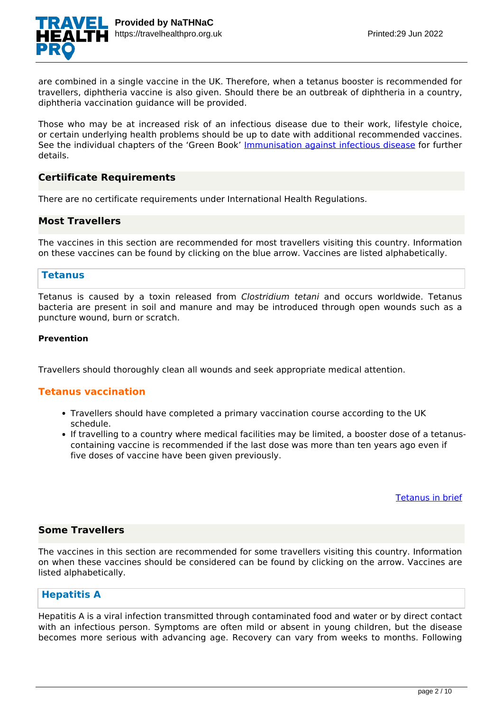

are combined in a single vaccine in the UK. Therefore, when a tetanus booster is recommended for travellers, diphtheria vaccine is also given. Should there be an outbreak of diphtheria in a country, diphtheria vaccination guidance will be provided.

Those who may be at increased risk of an infectious disease due to their work, lifestyle choice, or certain underlying health problems should be up to date with additional recommended vaccines. See the individual chapters of the 'Green Book' [Immunisation against infectious disease](https://www.gov.uk/government/collections/immunisation-against-infectious-disease-the-green-book) for further details.

# **Certiificate Requirements**

There are no certificate requirements under International Health Regulations.

#### **Most Travellers**

The vaccines in this section are recommended for most travellers visiting this country. Information on these vaccines can be found by clicking on the blue arrow. Vaccines are listed alphabetically.

# **Tetanus**

Tetanus is caused by a toxin released from *Clostridium tetani* and occurs worldwide. Tetanus bacteria are present in soil and manure and may be introduced through open wounds such as a puncture wound, burn or scratch.

#### **Prevention**

Travellers should thoroughly clean all wounds and seek appropriate medical attention.

# **Tetanus vaccination**

- Travellers should have completed a primary vaccination course according to the UK schedule.
- If travelling to a country where medical facilities may be limited, a booster dose of a tetanuscontaining vaccine is recommended if the last dose was more than ten years ago even if five doses of vaccine have been given previously.

[Tetanus in brief](https://travelhealthpro.org.uk/disease/168/tetanus)

# **Some Travellers**

The vaccines in this section are recommended for some travellers visiting this country. Information on when these vaccines should be considered can be found by clicking on the arrow. Vaccines are listed alphabetically.

# **Hepatitis A**

Hepatitis A is a viral infection transmitted through contaminated food and water or by direct contact with an infectious person. Symptoms are often mild or absent in young children, but the disease becomes more serious with advancing age. Recovery can vary from weeks to months. Following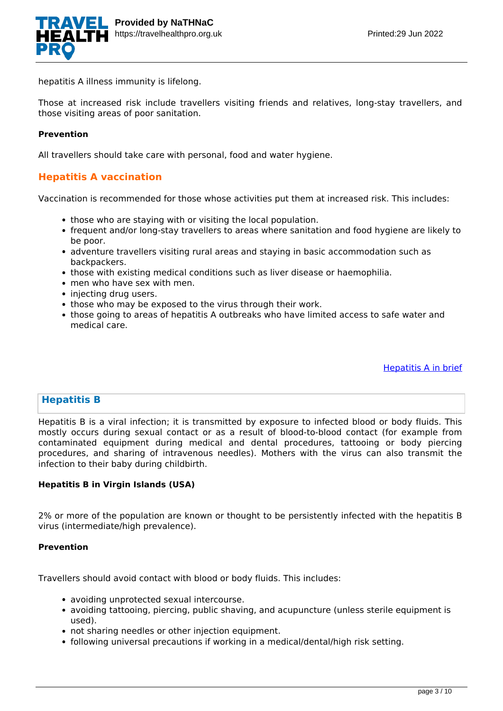

hepatitis A illness immunity is lifelong.

Those at increased risk include travellers visiting friends and relatives, long-stay travellers, and those visiting areas of poor sanitation.

#### **Prevention**

All travellers should take care with personal, food and water hygiene.

# **Hepatitis A vaccination**

Vaccination is recommended for those whose activities put them at increased risk. This includes:

- those who are staying with or visiting the local population.
- frequent and/or long-stay travellers to areas where sanitation and food hygiene are likely to be poor.
- adventure travellers visiting rural areas and staying in basic accommodation such as backpackers.
- those with existing medical conditions such as liver disease or haemophilia.
- men who have sex with men.
- injecting drug users.
- those who may be exposed to the virus through their work.
- those going to areas of hepatitis A outbreaks who have limited access to safe water and medical care.

[Hepatitis A in brief](https://travelhealthpro.org.uk/disease/70/hepatitis-a)

# **Hepatitis B**

Hepatitis B is a viral infection; it is transmitted by exposure to infected blood or body fluids. This mostly occurs during sexual contact or as a result of blood-to-blood contact (for example from contaminated equipment during medical and dental procedures, tattooing or body piercing procedures, and sharing of intravenous needles). Mothers with the virus can also transmit the infection to their baby during childbirth.

### **Hepatitis B in Virgin Islands (USA)**

2% or more of the population are known or thought to be persistently infected with the hepatitis B virus (intermediate/high prevalence).

#### **Prevention**

Travellers should avoid contact with blood or body fluids. This includes:

- avoiding unprotected sexual intercourse.
- avoiding tattooing, piercing, public shaving, and acupuncture (unless sterile equipment is used).
- not sharing needles or other injection equipment.
- following universal precautions if working in a medical/dental/high risk setting.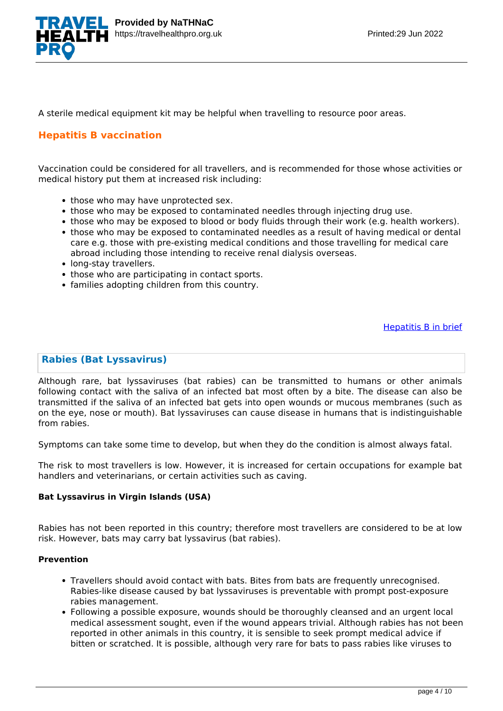

A sterile medical equipment kit may be helpful when travelling to resource poor areas.

# **Hepatitis B vaccination**

Vaccination could be considered for all travellers, and is recommended for those whose activities or medical history put them at increased risk including:

- those who may have unprotected sex.
- those who may be exposed to contaminated needles through injecting drug use.
- those who may be exposed to blood or body fluids through their work (e.g. health workers).
- those who may be exposed to contaminated needles as a result of having medical or dental care e.g. those with pre-existing medical conditions and those travelling for medical care abroad including those intending to receive renal dialysis overseas.
- long-stay travellers.
- those who are participating in contact sports.
- families adopting children from this country.

[Hepatitis B in brief](https://travelhealthpro.org.uk/disease/71/hepatitis-b)

# **Rabies (Bat Lyssavirus)**

Although rare, bat lyssaviruses (bat rabies) can be transmitted to humans or other animals following contact with the saliva of an infected bat most often by a bite. The disease can also be transmitted if the saliva of an infected bat gets into open wounds or mucous membranes (such as on the eye, nose or mouth). Bat lyssaviruses can cause disease in humans that is indistinguishable from rabies.

Symptoms can take some time to develop, but when they do the condition is almost always fatal.

The risk to most travellers is low. However, it is increased for certain occupations for example bat handlers and veterinarians, or certain activities such as caving.

#### **Bat Lyssavirus in Virgin Islands (USA)**

Rabies has not been reported in this country; therefore most travellers are considered to be at low risk. However, bats may carry bat lyssavirus (bat rabies).

#### **Prevention**

- Travellers should avoid contact with bats. Bites from bats are frequently unrecognised. Rabies-like disease caused by bat lyssaviruses is preventable with prompt post-exposure rabies management.
- Following a possible exposure, wounds should be thoroughly cleansed and an urgent local medical assessment sought, even if the wound appears trivial. Although rabies has not been reported in other animals in this country, it is sensible to seek prompt medical advice if bitten or scratched. It is possible, although very rare for bats to pass rabies like viruses to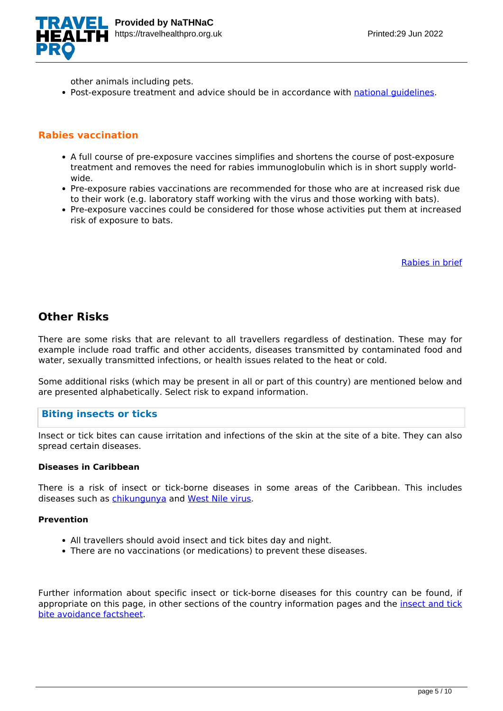

other animals including pets.

• Post-exposure treatment and advice should be in accordance with national quidelines.

# **Rabies vaccination**

- A full course of pre-exposure vaccines simplifies and shortens the course of post-exposure treatment and removes the need for rabies immunoglobulin which is in short supply worldwide.
- Pre-exposure rabies vaccinations are recommended for those who are at increased risk due to their work (e.g. laboratory staff working with the virus and those working with bats).
- Pre-exposure vaccines could be considered for those whose activities put them at increased risk of exposure to bats.

[Rabies in brief](https://travelhealthpro.org.uk/disease/148/rabies)

# **Other Risks**

There are some risks that are relevant to all travellers regardless of destination. These may for example include road traffic and other accidents, diseases transmitted by contaminated food and water, sexually transmitted infections, or health issues related to the heat or cold.

Some additional risks (which may be present in all or part of this country) are mentioned below and are presented alphabetically. Select risk to expand information.

# **Biting insects or ticks**

Insect or tick bites can cause irritation and infections of the skin at the site of a bite. They can also spread certain diseases.

#### **Diseases in Caribbean**

There is a risk of insect or tick-borne diseases in some areas of the Caribbean. This includes diseases such as [chikungunya](https://travelhealthpro.org.uk/factsheet/27/chikungunya) and [West Nile virus](https://travelhealthpro.org.uk/factsheet/47/west-nile-virus).

#### **Prevention**

- All travellers should avoid insect and tick bites day and night.
- There are no vaccinations (or medications) to prevent these diseases.

Further information about specific insect or tick-borne diseases for this country can be found, if appropriate on this page, in other sections of the country information pages and the [insect and tick](https://travelhealthpro.org.uk/factsheet/38/insect-and-tick-bite-avoidance) [bite avoidance factsheet](https://travelhealthpro.org.uk/factsheet/38/insect-and-tick-bite-avoidance).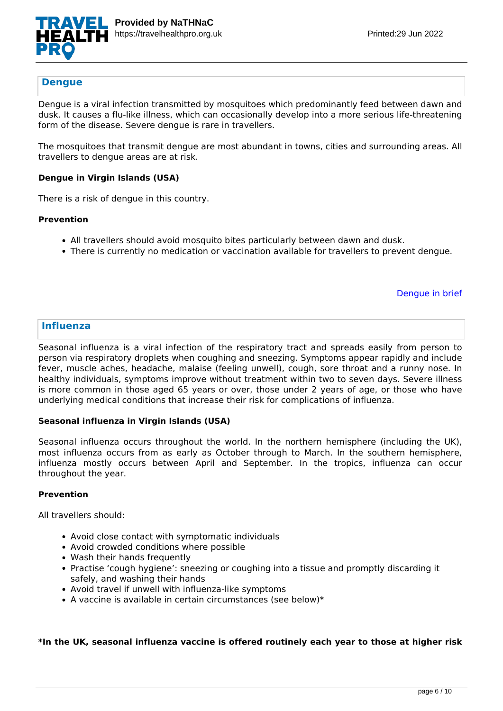

# **Dengue**

Dengue is a viral infection transmitted by mosquitoes which predominantly feed between dawn and dusk. It causes a flu-like illness, which can occasionally develop into a more serious life-threatening form of the disease. Severe dengue is rare in travellers.

The mosquitoes that transmit dengue are most abundant in towns, cities and surrounding areas. All travellers to dengue areas are at risk.

#### **Dengue in Virgin Islands (USA)**

There is a risk of dengue in this country.

#### **Prevention**

- All travellers should avoid mosquito bites particularly between dawn and dusk.
- There is currently no medication or vaccination available for travellers to prevent dengue.

[Dengue in brief](https://travelhealthpro.org.uk/disease/42/dengue)

#### **Influenza**

Seasonal influenza is a viral infection of the respiratory tract and spreads easily from person to person via respiratory droplets when coughing and sneezing. Symptoms appear rapidly and include fever, muscle aches, headache, malaise (feeling unwell), cough, sore throat and a runny nose. In healthy individuals, symptoms improve without treatment within two to seven days. Severe illness is more common in those aged 65 years or over, those under 2 years of age, or those who have underlying medical conditions that increase their risk for complications of influenza.

#### **Seasonal influenza in Virgin Islands (USA)**

Seasonal influenza occurs throughout the world. In the northern hemisphere (including the UK), most influenza occurs from as early as October through to March. In the southern hemisphere, influenza mostly occurs between April and September. In the tropics, influenza can occur throughout the year.

#### **Prevention**

All travellers should:

- Avoid close contact with symptomatic individuals
- Avoid crowded conditions where possible
- Wash their hands frequently
- Practise 'cough hygiene': sneezing or coughing into a tissue and promptly discarding it safely, and washing their hands
- Avoid travel if unwell with influenza-like symptoms
- $\bullet$  A vaccine is available in certain circumstances (see below)\*

#### **\*In the UK, seasonal influenza vaccine is offered routinely each year to those at higher risk**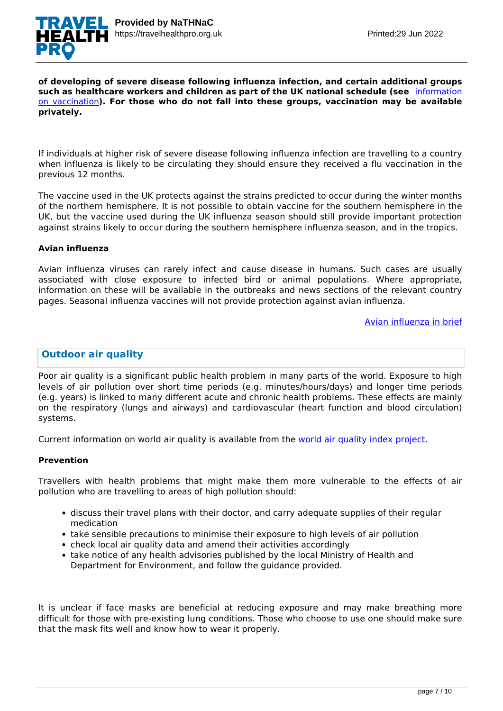

#### **of developing of severe disease following influenza infection, and certain additional groups such as healthcare workers and children as part of the UK national schedule (see** [information](https://www.gov.uk/government/publications/influenza-the-green-book-chapter-19) [on vaccination](https://www.gov.uk/government/publications/influenza-the-green-book-chapter-19)**). For those who do not fall into these groups, vaccination may be available privately.**

If individuals at higher risk of severe disease following influenza infection are travelling to a country when influenza is likely to be circulating they should ensure they received a flu vaccination in the previous 12 months.

The vaccine used in the UK protects against the strains predicted to occur during the winter months of the northern hemisphere. It is not possible to obtain vaccine for the southern hemisphere in the UK, but the vaccine used during the UK influenza season should still provide important protection against strains likely to occur during the southern hemisphere influenza season, and in the tropics.

#### **Avian influenza**

Avian influenza viruses can rarely infect and cause disease in humans. Such cases are usually associated with close exposure to infected bird or animal populations. Where appropriate, information on these will be available in the outbreaks and news sections of the relevant country pages. Seasonal influenza vaccines will not provide protection against avian influenza.

#### [Avian influenza in brief](https://travelhealthpro.org.uk/disease/216/avian-influenza-bird-flu)

# **Outdoor air quality**

Poor air quality is a significant public health problem in many parts of the world. Exposure to high levels of air pollution over short time periods (e.g. minutes/hours/days) and longer time periods (e.g. years) is linked to many different acute and chronic health problems. These effects are mainly on the respiratory (lungs and airways) and cardiovascular (heart function and blood circulation) systems.

Current information on world air quality is available from the [world air quality index project](http://aqicn.org/map/world/).

#### **Prevention**

Travellers with health problems that might make them more vulnerable to the effects of air pollution who are travelling to areas of high pollution should:

- discuss their travel plans with their doctor, and carry adequate supplies of their regular medication
- take sensible precautions to minimise their exposure to high levels of air pollution
- check local air quality data and amend their activities accordingly
- take notice of any health advisories published by the local Ministry of Health and Department for Environment, and follow the guidance provided.

It is unclear if face masks are beneficial at reducing exposure and may make breathing more difficult for those with pre-existing lung conditions. Those who choose to use one should make sure that the mask fits well and know how to wear it properly.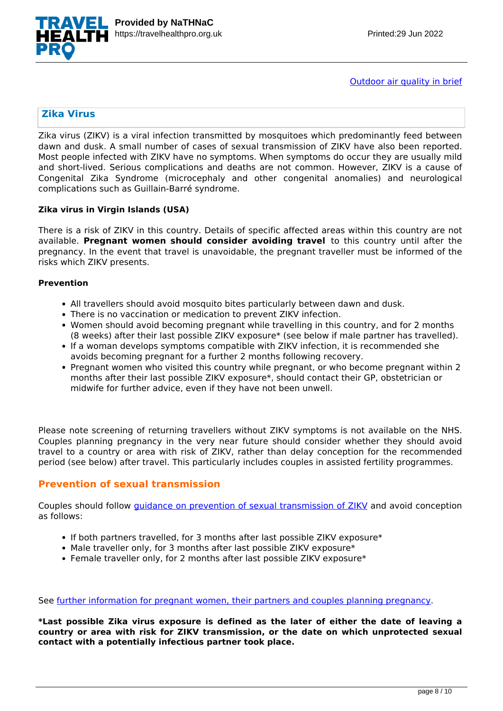

[Outdoor air quality in brief](https://travelhealthpro.org.uk/disease/219/outdoor-air-quality)

# **Zika Virus**

Zika virus (ZIKV) is a viral infection transmitted by mosquitoes which predominantly feed between dawn and dusk. A small number of cases of sexual transmission of ZIKV have also been reported. Most people infected with ZIKV have no symptoms. When symptoms do occur they are usually mild and short-lived. Serious complications and deaths are not common. However, ZIKV is a cause of Congenital Zika Syndrome (microcephaly and other congenital anomalies) and neurological complications such as Guillain-Barré syndrome.

#### **Zika virus in Virgin Islands (USA)**

There is a risk of ZIKV in this country. Details of specific affected areas within this country are not available. **Pregnant women should consider avoiding travel** to this country until after the pregnancy. In the event that travel is unavoidable, the pregnant traveller must be informed of the risks which ZIKV presents.

#### **Prevention**

- All travellers should avoid mosquito bites particularly between dawn and dusk.
- There is no vaccination or medication to prevent ZIKV infection.
- Women should avoid becoming pregnant while travelling in this country, and for 2 months (8 weeks) after their last possible ZIKV exposure\* (see below if male partner has travelled).
- If a woman develops symptoms compatible with ZIKV infection, it is recommended she avoids becoming pregnant for a further 2 months following recovery.
- Pregnant women who visited this country while pregnant, or who become pregnant within 2 months after their last possible ZIKV exposure\*, should contact their GP, obstetrician or midwife for further advice, even if they have not been unwell.

Please note screening of returning travellers without ZIKV symptoms is not available on the NHS. Couples planning pregnancy in the very near future should consider whether they should avoid travel to a country or area with risk of ZIKV, rather than delay conception for the recommended period (see below) after travel. This particularly includes couples in assisted fertility programmes.

# **Prevention of sexual transmission**

Couples should follow *[guidance on prevention of sexual transmission of ZIKV](https://www.gov.uk/guidance/zika-virus-preventing-infection-by-sexual-transmission)* and avoid conception as follows:

- If both partners travelled, for 3 months after last possible ZIKV exposure\*
- Male traveller only, for 3 months after last possible ZIKV exposure\*
- Female traveller only, for 2 months after last possible ZIKV exposure\*

See [further information for pregnant women, their partners and couples planning pregnancy](https://www.gov.uk/government/publications/zika-virus-sexual-transmission-advice-algorithm).

**\*Last possible Zika virus exposure is defined as the later of either the date of leaving a country or area with risk for ZIKV transmission, or the date on which unprotected sexual contact with a potentially infectious partner took place.**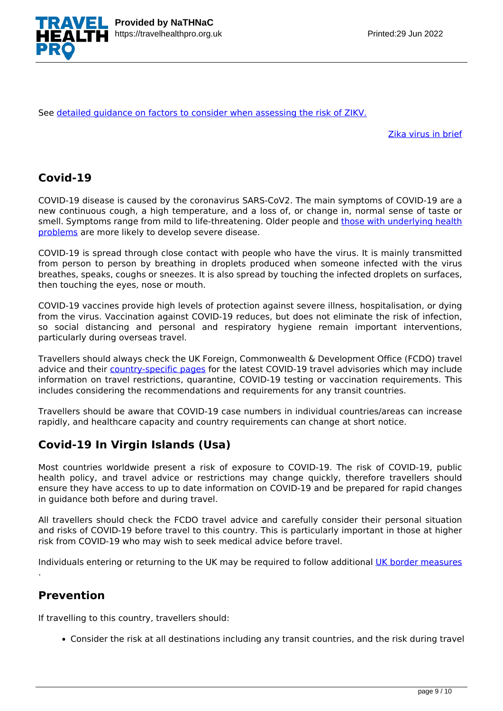

See [detailed guidance on factors to consider when assessing the risk of ZIKV.](https://travelhealthpro.org.uk/factsheet/5/zika--risk-assessment)

[Zika virus in brief](https://travelhealthpro.org.uk/disease/196/zika-virus)

# **Covid-19**

COVID-19 disease is caused by the coronavirus SARS-CoV2. The main symptoms of COVID-19 are a new continuous cough, a high temperature, and a loss of, or change in, normal sense of taste or smell. Symptoms range from mild to life-threatening. Older people and [those with underlying health](https://www.nhs.uk/conditions/coronavirus-covid-19/people-at-higher-risk/) [problems](https://www.nhs.uk/conditions/coronavirus-covid-19/people-at-higher-risk/) are more likely to develop severe disease.

COVID-19 is spread through close contact with people who have the virus. It is mainly transmitted from person to person by breathing in droplets produced when someone infected with the virus breathes, speaks, coughs or sneezes. It is also spread by touching the infected droplets on surfaces, then touching the eyes, nose or mouth.

COVID-19 vaccines provide high levels of protection against severe illness, hospitalisation, or dying from the virus. Vaccination against COVID-19 reduces, but does not eliminate the risk of infection, so social distancing and personal and respiratory hygiene remain important interventions, particularly during overseas travel.

Travellers should always check the UK Foreign, Commonwealth & Development Office (FCDO) travel advice and their [country-specific pages](https://www.gov.uk/foreign-travel-advice) for the latest COVID-19 travel advisories which may include information on travel restrictions, quarantine, COVID-19 testing or vaccination requirements. This includes considering the recommendations and requirements for any transit countries.

Travellers should be aware that COVID-19 case numbers in individual countries/areas can increase rapidly, and healthcare capacity and country requirements can change at short notice.

# **Covid-19 In Virgin Islands (Usa)**

Most countries worldwide present a risk of exposure to COVID-19. The risk of COVID-19, public health policy, and travel advice or restrictions may change quickly, therefore travellers should ensure they have access to up to date information on COVID-19 and be prepared for rapid changes in guidance both before and during travel.

All travellers should check the FCDO travel advice and carefully consider their personal situation and risks of COVID-19 before travel to this country. This is particularly important in those at higher risk from COVID-19 who may wish to seek medical advice before travel.

Individuals entering or returning to the UK may be required to follow additional [UK border measures](https://www.gov.uk/uk-border-control)

# **Prevention**

.

If travelling to this country, travellers should:

Consider the risk at all destinations including any transit countries, and the risk during travel